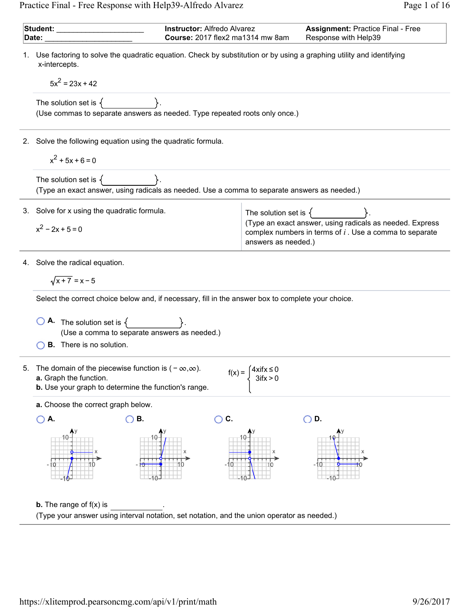Practice Final - Free Response with Help39-Alfredo Alvarez Page 1 of 16

1. 2. 3. 4. 5. **Student:** \_\_\_\_\_\_\_\_\_\_\_\_\_\_\_\_\_\_\_\_\_ **Date:** \_\_\_\_\_\_\_\_\_\_\_\_\_\_\_\_\_\_\_\_\_ **Instructor:** Alfredo Alvarez **Course:** 2017 flex2 ma1314 mw 8am **Assignment:** Practice Final - Free Response with Help39 Use factoring to solve the quadratic equation. Check by substitution or by using a graphing utility and identifying x-intercepts. 5x = 23x + 42 <sup>2</sup> The solution set is . (Use commas to separate answers as needed. Type repeated roots only once.) Solve the following equation using the quadratic formula. x + 5x + 6 = 0 <sup>2</sup> The solution set is . (Type an exact answer, using radicals as needed. Use a comma to separate answers as needed.) Solve for x using the quadratic formula. xx 0 <sup>2</sup> −2 +5= The solution set is . (Type an exact answer, using radicals as needed. Express complex numbers in terms of Use a comma to separate answers as needed.) *i* . Solve the radical equation. x+7 =x−5 Select the correct choice below and, if necessary, fill in the answer box to complete your choice. **A.** The solution set is . (Use a comma to separate answers as needed.) **B.** There is no solution. The domain of the piecewise function is −( , ). ∞ ∞ **a.** Graph the function. **b.** Use your graph to determine the function's range. f(x) = 4xifx ≤ 0 3ifx > 0 **a.** Choose the correct graph below. **A.** - 10 10 x y **B.** - 10 -10 10 x y **C.** -10 -10 10 x y **D.** -10 -10 x y **b.** The range of f(x) . is (Type your answer using interval notation, set notation, and the union operator as needed.)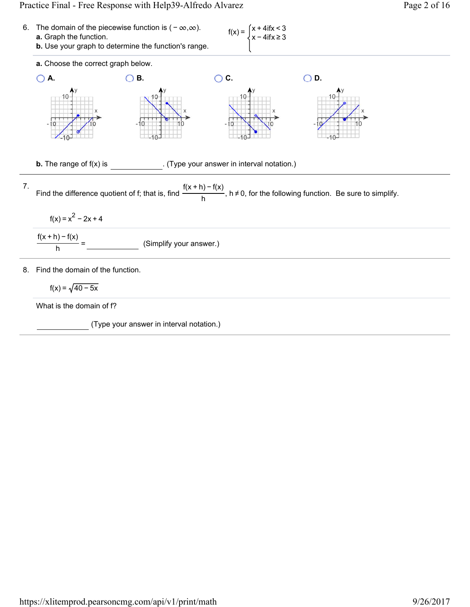## Practice Final - Free Response with Help39-Alfredo Alvarez Page 2 of 16

6. The domain of the piecewise function is 
$$
(-\infty, \infty)
$$
.  
\na. Graph the function.  
\nb. Use your graph to determine the function's range.  
\na. Choose the correct graph below.  
\n7. Find the difference quotient of f; that is, find  $\frac{f(x+h) - f(x)}{h}$ ,  $h \ne 0$ , for the following function. Be  
\n  
\n  
\n8. Find the domain of the function.  
\n8. Find the domain of the function.  
\n  
\n $f(x) = \sqrt{2-2x+4}$   
\n  
\n $f(x+h) - f(x) = \frac{(Simplify your answer.)}{h}$   
\n  
\n8. Find the domain of the function.  
\n $f(x) = \sqrt{40-5x}$   
\n  
\n $f(x) = \sqrt{40-5x}$   
\n  
\n $f(x) = \sqrt{40-5x}$   
\n  
\n $f(x) = \sqrt{40-5x}$   
\n  
\n $f(x) = \sqrt{40-5x}$   
\n  
\n $f(x) = \sqrt{40-5x}$   
\n  
\n $f(x) = \sqrt{40-5x}$ 

What is the domain of f?

(Type your answer in interval notation.)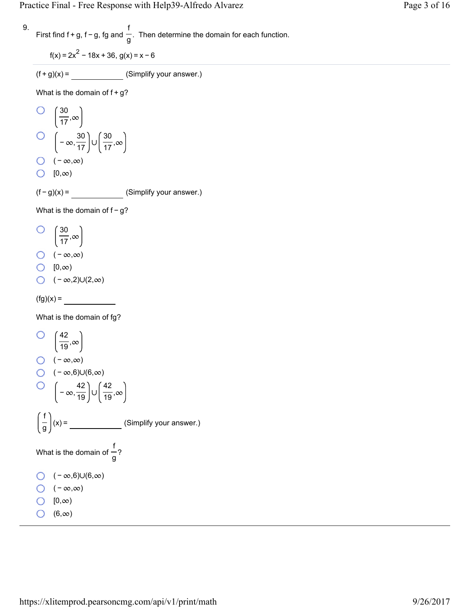$f(x) = 2x^{2} - 18x + 36$ ,  $g(x) = x - 6$ 

 $(f+g)(x) =$  (Simplify your answer.)

What is the domain of  $f + g$ ?

O 
$$
\left(\frac{30}{17}, \infty\right)
$$
  
O  $\left(-\infty, \frac{30}{17}\right) \cup \left(\frac{30}{17}, \infty\right)$   
O  $\left(-\infty, \infty\right)$   
O  $\left[0, \infty\right)$ 

 $(f - g)(x) =$  (Simplify your answer.)

What is the domain of f - g?

$$
\begin{pmatrix} 30 \\ \frac{1}{17}, \infty \end{pmatrix}
$$

- $\bigcirc$  ( − ∞,∞)
- $\bigcirc$   $[0, \infty)$
- $\bigcirc$  ( ∞,2)∪(2,∞)

 $(fg)(x) =$ 

What is the domain of fg?

$$
Q = \left(\frac{42}{19}, \infty\right)
$$
  
\n
$$
Q = (-\infty, \infty)
$$
  
\n
$$
Q = (-\infty, 6) \cup (6, \infty)
$$
  
\n
$$
Q = -\infty, \frac{42}{19} \cup \left(\frac{42}{19}, \infty\right)
$$
  
\n
$$
\left(\frac{f}{g}\right)(x) = \underline{\hspace{1cm}} \text{ (Simplify your answer.)}
$$
  
\nWhat is the domain of  $\frac{f}{g}$ ?\n  
\n
$$
Q = (-\infty, 6) \cup (6, \infty)
$$
  
\n
$$
Q = (-\infty, \infty)
$$
  
\n
$$
Q = (0, \infty)
$$
  
\n
$$
Q = (6, \infty)
$$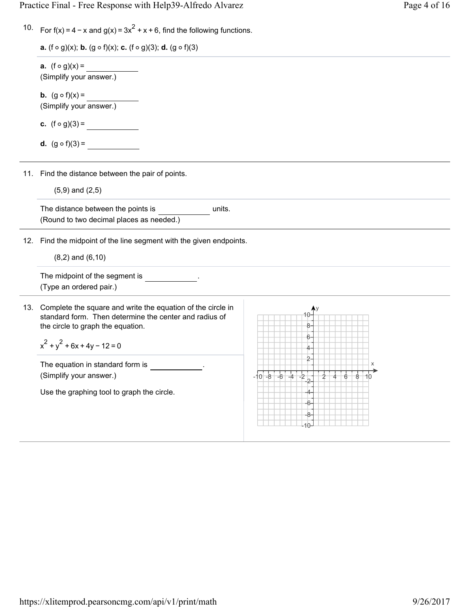Practice Final - Free Response with Help39-Alfredo Alvarez Page 4 of 16

| 10. For $f(x) = 4 - x$ and $g(x) = 3x^2 + x + 6$ , find the following functions. |  |
|----------------------------------------------------------------------------------|--|
|----------------------------------------------------------------------------------|--|

| <b>a.</b> (f $\circ$ g)(x); <b>b.</b> (g $\circ$ f)(x); <b>c.</b> (f $\circ$ g)(3); <b>d.</b> (g $\circ$ f)(3) |  |  |  |
|----------------------------------------------------------------------------------------------------------------|--|--|--|
|----------------------------------------------------------------------------------------------------------------|--|--|--|

**a.**  $(f \circ g)(x) =$ (Simplify your answer.)

**b.**  $(g \circ f)(x) =$ (Simplify your answer.)

**c.**  $(f \circ g)(3) =$ 

**d.**  $(g \circ f)(3) =$ 

11. Find the distance between the pair of points.

 $(5,9)$  and  $(2,5)$ 

The distance between the points is **the united was constant** units. (Round to two decimal places as needed.)

12. Find the midpoint of the line segment with the given endpoints.

 $(8, 2)$  and  $(6, 10)$ 

The midpoint of the segment is  $\qquad \qquad$ . (Type an ordered pair.)

13. Complete the square and write the equation of the circle in standard form. Then determine the center and radius of the circle to graph the equation.

$$
x^2 + y^2 + 6x + 4y - 12 = 0
$$

The equation in standard form is (Simplify your answer.)

Use the graphing tool to graph the circle.

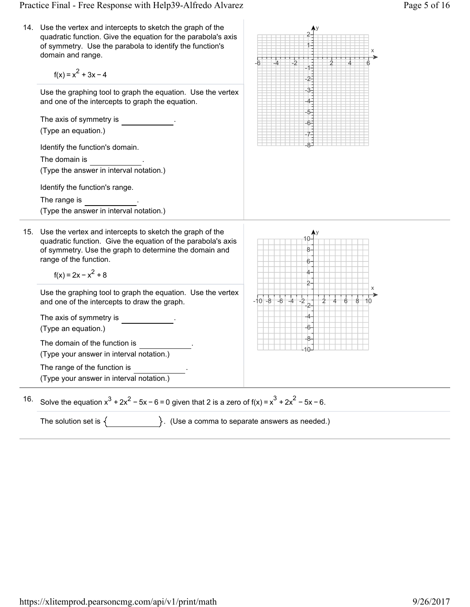Practice Final - Free Response with Help39-Alfredo Alvarez Page 5 of 16

x

 $-6$   $-4$   $-2$   $1$   $1$   $2$   $4$   $6$ 

y

1 2

-4 -3 -2 -1

14. Use the vertex and intercepts to sketch the graph of the quadratic function. Give the equation for the parabola's axis of symmetry. Use the parabola to identify the function's domain and range.

 $f(x) = x^2 + 3x - 4$ 

Use the graphing tool to graph the equation. Use the vertex and one of the intercepts to graph the equation.

15. Use the vertex and intercepts to sketch the graph of the The axis of symmetry is . (Type an equation.) Identify the function's domain. The domain is (Type the answer in interval notation.) Identify the function's range. The range is ... (Type the answer in interval notation.) -8 -7 -6 -5 quadratic function. Give the equation of the parabola's axis of symmetry. Use the graph to determine the domain and range of the function.  $f(x) = 2x - x^2 + 8$ Use the graphing tool to graph the equation. Use the vertex and one of the intercepts to draw the graph. The axis of symmetry is . (Type an equation.) The domain of the function is (Type your answer in interval notation.) The range of the function is (Type your answer in interval notation.)  $-10 - 8 - 6 - 4 - 2 + 246$ -10 -8 -6 -4 -2 2 4 6 8 10 x y

16. Solve the equation  $x^3 + 2x^2 - 5x - 6 = 0$  given that 2 is a zero of  $f(x) = x^3 + 2x^2 - 5x - 6$ .

The solution set is  $\{$   $\}$ . (Use a comma to separate answers as needed.)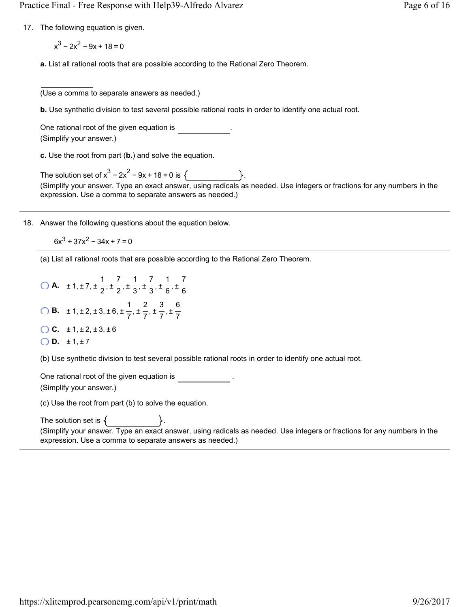17. The following equation is given.

 $x^{3}$  – 2 $x^{2}$  – 9x + 18 = 0

**a.** List all rational roots that are possible according to the Rational Zero Theorem.

(Use a comma to separate answers as needed.)

**b.** Use synthetic division to test several possible rational roots in order to identify one actual root.

One rational root of the given equation is . (Simplify your answer.)

**c.** Use the root from part (**b.**) and solve the equation.

The solution set of  $x^3 - 2x^2 - 9x + 18 = 0$  is  $\{ \}$ . (Simplify your answer. Type an exact answer, using radicals as needed. Use integers or fractions for any numbers in the expression. Use a comma to separate answers as needed.)

18. Answer the following questions about the equation below.

 $6x^3 + 37x^2 - 34x + 7 = 0$ 

(a) List all rational roots that are possible according to the Rational Zero Theorem.

**A.**  $\pm 1, \pm 7, \pm \frac{1}{6}, \pm \frac{7}{6}, \pm \frac{1}{6}, \pm \frac{7}{6}, \pm \frac{1}{6}, \pm \frac{1}{2}$ 2 7 2 1 3 7 3 1 6 7 6 **B.**  $\pm 1, \pm 2, \pm 3, \pm 6, \pm \frac{1}{7}, \pm \frac{1}{7}, \pm \frac{1}{7}, \pm \frac{1}{7}$ 7 2 7 3 7 6 7

- **C.**  $\pm 1, \pm 2, \pm 3, \pm 6$
- $O.D. \pm 1, \pm 7$

(b) Use synthetic division to test several possible rational roots in order to identify one actual root.

One rational root of the given equation is .

(Simplify your answer.)

(c) Use the root from part (b) to solve the equation.

The solution set is  $\{$  .  $\}$  . (Simplify your answer. Type an exact answer, using radicals as needed. Use integers or fractions for any numbers in the expression. Use a comma to separate answers as needed.)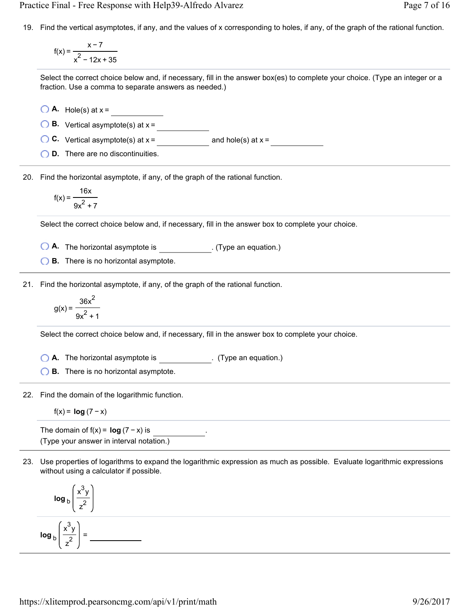Practice Final - Free Response with Help39-Alfredo Alvarez Page 7 of 16

19. Find the vertical asymptotes, if any, and the values of x corresponding to holes, if any, of the graph of the rational function.

f(x) = x−7  $x^2$  – 12x + 35

Select the correct choice below and, if necessary, fill in the answer box(es) to complete your choice. (Type an integer or a fraction. Use a comma to separate answers as needed.)

 $\bigcirc$  **A.** Hole(s) at  $x =$ 

**B.** Vertical asymptote(s) at  $x =$ 

**C.** Vertical asymptote(s) at  $x =$  and hole(s) at  $x =$ 

**D.** There are no discontinuities.

20. Find the horizontal asymptote, if any, of the graph of the rational function.

$$
f(x) = \frac{16x}{9x^2 + 7}
$$

Select the correct choice below and, if necessary, fill in the answer box to complete your choice.

**O A.** The horizontal asymptote is \_\_\_\_\_\_\_\_\_\_\_\_. (Type an equation.)

**B.** There is no horizontal asymptote.

21. Find the horizontal asymptote, if any, of the graph of the rational function.

$$
g(x) = \frac{36x^2}{9x^2 + 1}
$$

Select the correct choice below and, if necessary, fill in the answer box to complete your choice.

◯ A. The horizontal asymptote is \_\_\_\_\_\_\_\_\_\_\_\_\_. (Type an equation.)

**B.** There is no horizontal asymptote.

22. Find the domain of the logarithmic function.

$$
f(x) = \log (7 - x)
$$

The domain of  $f(x) = \log (7 - x)$  is (Type your answer in interval notation.)

23. Use properties of logarithms to expand the logarithmic expression as much as possible. Evaluate logarithmic expressions without using a calculator if possible.

$$
\log_{b}\left(\frac{x^{3}y}{z^{2}}\right)
$$
\n
$$
\log_{b}\left(\frac{x^{3}y}{z^{2}}\right) = \underline{\qquad}
$$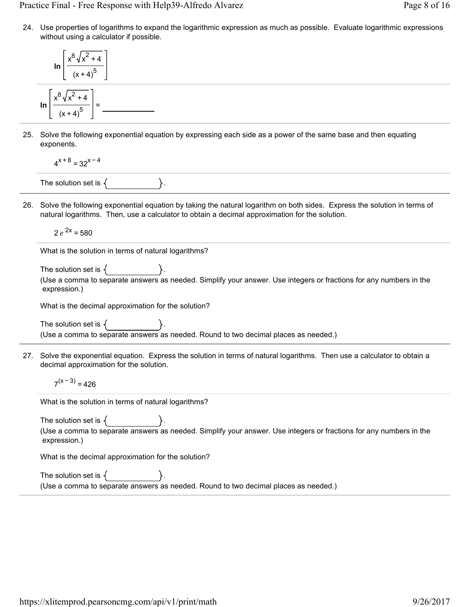Practice Final - Free Response with Help39-Alfredo Alvarez Page 8 of 16

24. Use properties of logarithms to expand the logarithmic expression as much as possible. Evaluate logarithmic expressions without using a calculator if possible.

$$
\ln\left[\frac{x^8\sqrt{x^2+4}}{(x+4)^5}\right]
$$

$$
\ln\left[\frac{x^8\sqrt{x^2+4}}{(x+4)^5}\right] =
$$

25. Solve the following exponential equation by expressing each side as a power of the same base and then equating exponents.

$$
4^{x+8} = 32^{x-4}
$$

The solution set is  $\{$ 

26. Solve the following exponential equation by taking the natural logarithm on both sides. Express the solution in terms of natural logarithms. Then, use a calculator to obtain a decimal approximation for the solution.

 $2e^{2x} = 580$ 

What is the solution in terms of natural logarithms?

The solution set is  $\{$ (Use a comma to separate answers as needed. Simplify your answer. Use integers or fractions for any numbers in the expression.)

What is the decimal approximation for the solution?

The solution set is  $\{$ (Use a comma to separate answers as needed. Round to two decimal places as needed.)

27. Solve the exponential equation. Express the solution in terms of natural logarithms. Then use a calculator to obtain a decimal approximation for the solution.

 $7^{(x-3)} = 426$ 

What is the solution in terms of natural logarithms?

The solution set is  $\{$ (Use a comma to separate answers as needed. Simplify your answer. Use integers or fractions for any numbers in the expression.)

What is the decimal approximation for the solution?

| The solution set is $\{$ |                                                                                     |
|--------------------------|-------------------------------------------------------------------------------------|
|                          | (Use a comma to separate answers as needed. Round to two decimal places as needed.) |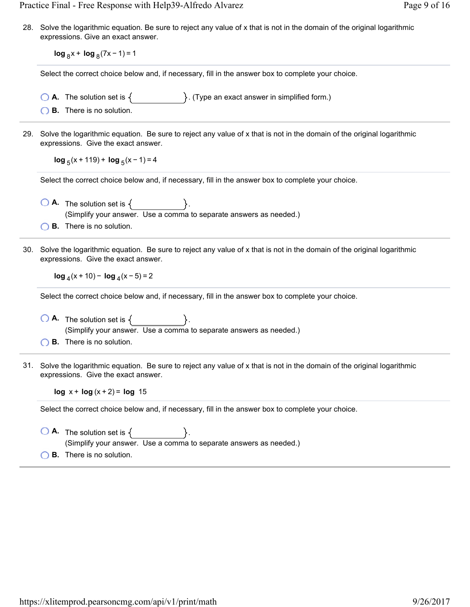Practice Final - Free Response with Help39-Alfredo Alvarez Page 9 of 16

28. Solve the logarithmic equation. Be sure to reject any value of x that is not in the domain of the original logarithmic expressions. Give an exact answer.

**log**  $_8$ x + **log**  $_8$ (7x − 1) = 1

Select the correct choice below and, if necessary, fill in the answer box to complete your choice.

- **A.** The solution set is  $\{$   $\}$ . (Type an exact answer in simplified form.)
- **B.** There is no solution.
- 29. Solve the logarithmic equation. Be sure to reject any value of x that is not in the domain of the original logarithmic expressions. Give the exact answer.

**log**  $_5(x + 119) + log_5(x - 1) = 4$ 

Select the correct choice below and, if necessary, fill in the answer box to complete your choice.

- $\bigcirc$  **A.** The solution set is  $\{$ . (Simplify your answer. Use a comma to separate answers as needed.)
- **B.** There is no solution.
- 30. Solve the logarithmic equation. Be sure to reject any value of x that is not in the domain of the original logarithmic expressions. Give the exact answer.

**log**  $_4$ (x + 10) − **log**  $_4$ (x − 5) = 2

Select the correct choice below and, if necessary, fill in the answer box to complete your choice.

- $\overline{O}$  **A.** The solution set is  $\{$ (Simplify your answer. Use a comma to separate answers as needed.)
- **B.** There is no solution.
- 31. Solve the logarithmic equation. Be sure to reject any value of x that is not in the domain of the original logarithmic expressions. Give the exact answer.

**log**  $x + \log(x + 2) = \log 15$ 

Select the correct choice below and, if necessary, fill in the answer box to complete your choice.

- $\overline{O}$  **A.** The solution set is  $\{$ (Simplify your answer. Use a comma to separate answers as needed.)
- **B.** There is no solution.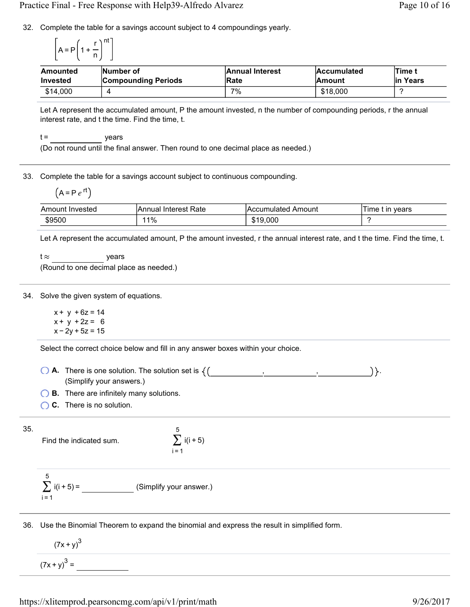32. Complete the table for a savings account subject to 4 compoundings yearly.

$$
\left[A = P\left(1 + \frac{r}{n}\right)^{nt}\right]
$$

| <b>Amounted</b> | Number of                  | <b>Annual Interest</b> | <b>Accumulated</b> | Time t    |
|-----------------|----------------------------|------------------------|--------------------|-----------|
| <b>Invested</b> | <b>Compounding Periods</b> | Rate                   | <b>Amount</b>      | lin Years |
| \$14,000        |                            | 7%                     | \$18,000           |           |

Let A represent the accumulated amount, P the amount invested, n the number of compounding periods, r the annual interest rate, and t the time. Find the time, t.

 $t =$  years

(Do not round until the final answer. Then round to one decimal place as needed.)

33. Complete the table for a savings account subject to continuous compounding.

$$
(A = P e^{rt})
$$

| Amount<br>Invested | Rate<br>Interest<br>lAnnual | IAccumulated Amount | vears<br>l ime<br>ın |
|--------------------|-----------------------------|---------------------|----------------------|
| \$9500             | $1\%$                       | \$19,000            |                      |

Let A represent the accumulated amount, P the amount invested, r the annual interest rate, and t the time. Find the time, t.

t  $\approx$  years (Round to one decimal place as needed.)

34. Solve the given system of equations.

 $x + y + 6z = 14$  $x + y + 2z = 6$  $x - 2y + 5z = 15$ 

Select the correct choice below and fill in any answer boxes within your choice.

**A.** There is one solution. The solution set is  $\{(\begin{array}{ccc} , & , & , & \end{array} \right) \}$ . (Simplify your answers.)

**B.** There are infinitely many solutions.

**C.** There is no solution.

35.

Find the indicated sum.

$$
\sum_{i=1}^{5} i(i+5)
$$

$$
\sum_{i=1}^{5} i(i+5) =
$$
 (Simplify your answer.)

36. Use the Binomial Theorem to expand the binomial and express the result in simplified form.

$$
\frac{(7x+y)^3}{(7x+y)^3} =
$$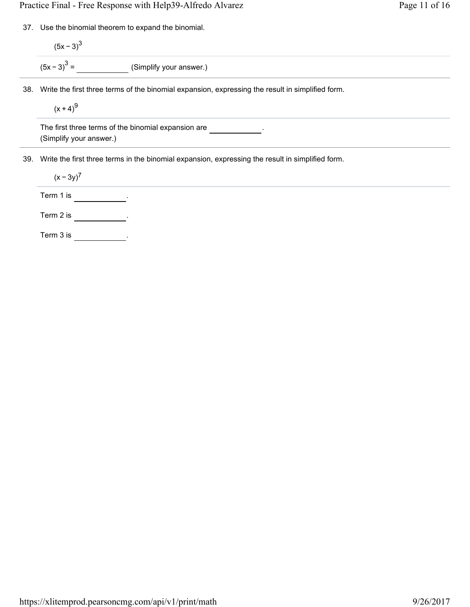Practice Final - Free Response with Help39-Alfredo Alvarez Page 11 of 16

37. Use the binomial theorem to expand the binomial.

 $(5x - 3)^3$  $(5x-3)^3$  = (Simplify your answer.)

38. Write the first three terms of the binomial expansion, expressing the result in simplified form.

 $(x + 4)^9$ 

The first three terms of the binomial expansion are  $\sim$ (Simplify your answer.)

39. Write the first three terms in the binomial expansion, expressing the result in simplified form.

 $(x - 3y)^7$ 

Term 1 is  $\frac{1}{1}$ .

Term 2 is  $\frac{1}{2}$ .

Term 3 is  $\frac{1}{2}$ .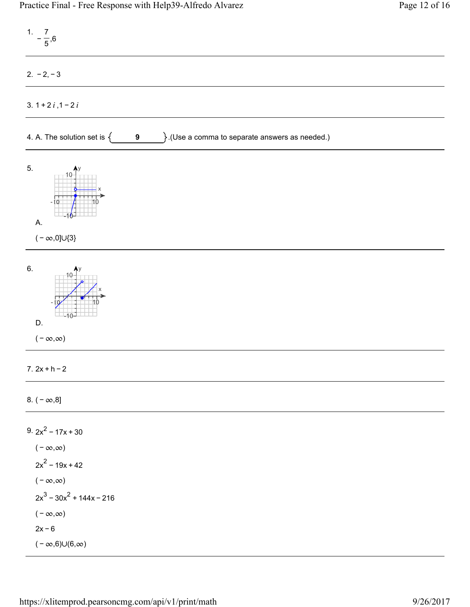| $1. -\frac{7}{5},6$                                                                                                                                                                       |
|-------------------------------------------------------------------------------------------------------------------------------------------------------------------------------------------|
| $2. -2, -3$                                                                                                                                                                               |
| 3. $1 + 2i$ , $1 - 2i$                                                                                                                                                                    |
| $\}$ .(Use a comma to separate answers as needed.)<br>4. A. The solution set is $\{$<br>9                                                                                                 |
| 5.<br>A.<br>( $-\infty,0]\cup\{3\}$                                                                                                                                                       |
| 6.<br>D.<br>$(-\infty,\infty)$                                                                                                                                                            |
| $7.2x + h - 2$                                                                                                                                                                            |
| 8. $(-\infty, 8]$                                                                                                                                                                         |
| 9. $2x^2$ – 17x + 30<br>$(-\infty,\infty)$<br>$2x^2 - 19x + 42$<br>( – $\infty, \infty$ )<br>$2x^3 - 30x^2 + 144x - 216$<br>$(-\infty,\infty)$<br>$2x - 6$<br>$(-\infty,6)\cup(6,\infty)$ |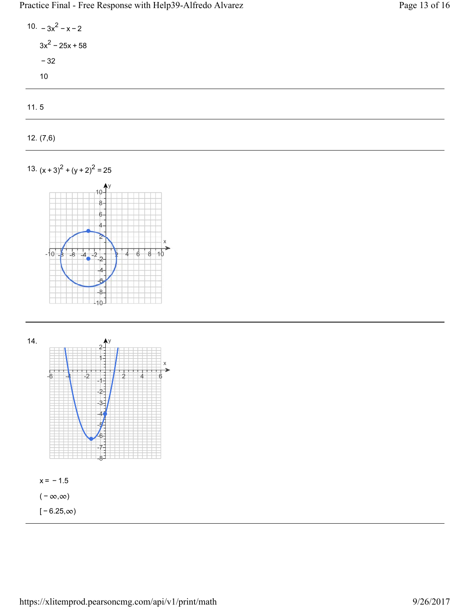Practice Final - Free Response with Help39-Alfredo Alvarez Page 13 of 16

10.  $-3x^2 - x - 2$  $3x^2 - 25x + 58$ − 32 10

11. 5

12. (7,6)

13.  $(x + 3)^2 + (y + 2)^2 = 25$ 



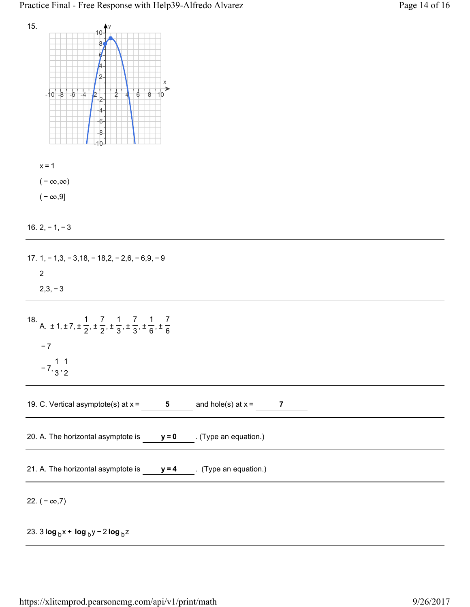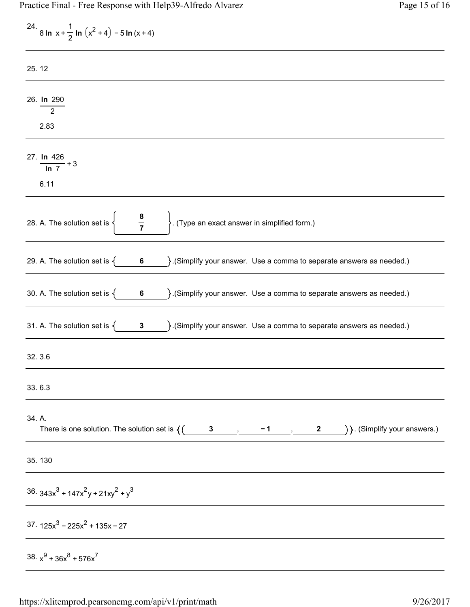| 24. 8 ln x + $\frac{1}{2}$ ln $(x^2 + 4) - 5$ ln $(x + 4)$                                                                                                  |
|-------------------------------------------------------------------------------------------------------------------------------------------------------------|
| 25.12                                                                                                                                                       |
| 26. In 290<br>$2^{\circ}$                                                                                                                                   |
| 2.83                                                                                                                                                        |
| 27. $\frac{\ln 426}{\ln 7} + 3$<br>6.11                                                                                                                     |
|                                                                                                                                                             |
| $\frac{8}{7}$<br> <br>  . (Type an exact answer in simplified form.)<br>28. A. The solution set is $\Big\{$                                                 |
| 29. A. The solution set is $\left\{\n\begin{array}{c}\n6\n\end{array}\n\right\}$ . (Simplify your answer. Use a comma to separate answers as needed.)       |
| 30. A. The solution set is $\{ 6 \}$ . (Simplify your answer. Use a comma to separate answers as needed.)                                                   |
| 31. A. The solution set is $\{$ 3 $\}$ . (Simplify your answer. Use a comma to separate answers as needed.)                                                 |
| 32.3.6                                                                                                                                                      |
| 33.6.3                                                                                                                                                      |
| 34. A.<br>There is one solution. The solution set is $\left\{ \begin{pmatrix} 3 & 1 \end{pmatrix}, -1, 2 \end{pmatrix} \right\}$ . (Simplify your answers.) |
| 35.130                                                                                                                                                      |
| $36.343x^{3} + 147x^{2}y + 21xy^{2} + y^{3}$                                                                                                                |
| $37.125x^3 - 225x^2 + 135x - 27$                                                                                                                            |
| 38. $x^9 + 36x^8 + 576x^7$                                                                                                                                  |